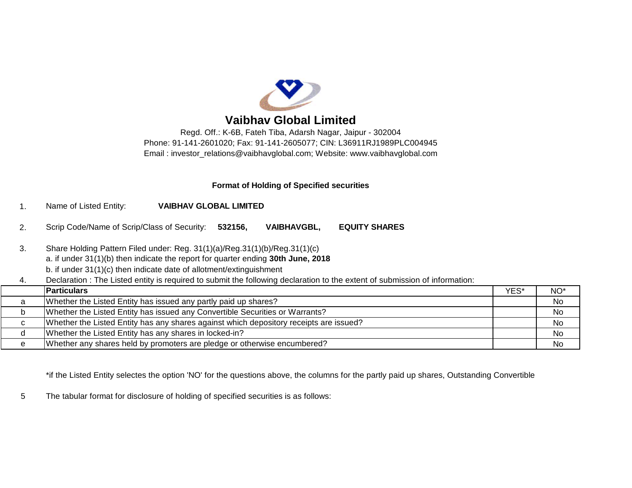

# **Vaibhav Global Limited**

Regd. Off.: K-6B, Fateh Tiba, Adarsh Nagar, Jaipur - 302004 Phone: 91-141-2601020; Fax: 91-141-2605077; CIN: L36911RJ1989PLC004945 Email : [investor\\_relations@vaibhavglobal.com;](mailto:investor_relations@vaibhavglobal.com;) Website: [www.vaibhavglobal.com](http://www.vaibhavglobal.com)

## **Format of Holding of Specified securities**

- 1. Name of Listed Entity: **VAIBHAV GLOBAL LIMITED**
- 2. Scrip Code/Name of Scrip/Class of Security: **532156, VAIBHAVGBL, EQUITY SHARES**
- 3. Share Holding Pattern Filed under: Reg. 31(1)(a)/Reg.31(1)(b)/Reg.31(1)(c) a. if under 31(1)(b) then indicate the report for quarter ending **30th June, 2018**
	-
	- b. if under 31(1)(c) then indicate date of allotment/extinguishment
- 4. Declaration : The Listed entity is required to submit the following declaration to the extent of submission of information:

|   | <b>Particulars</b>                                                                     | YES* | NO <sup>*</sup> |
|---|----------------------------------------------------------------------------------------|------|-----------------|
|   | Whether the Listed Entity has issued any partly paid up shares?                        |      | No              |
|   | Whether the Listed Entity has issued any Convertible Securities or Warrants?           |      | No              |
| ◡ | Whether the Listed Entity has any shares against which depository receipts are issued? |      | No              |
|   | Whether the Listed Entity has any shares in locked-in?                                 |      | No              |
|   | Whether any shares held by promoters are pledge or otherwise encumbered?               |      | No              |

\*if the Listed Entity selectes the option 'NO' for the questions above, the columns for the partly paid up shares, Outstanding Convertible

5 The tabular format for disclosure of holding of specified securities is as follows: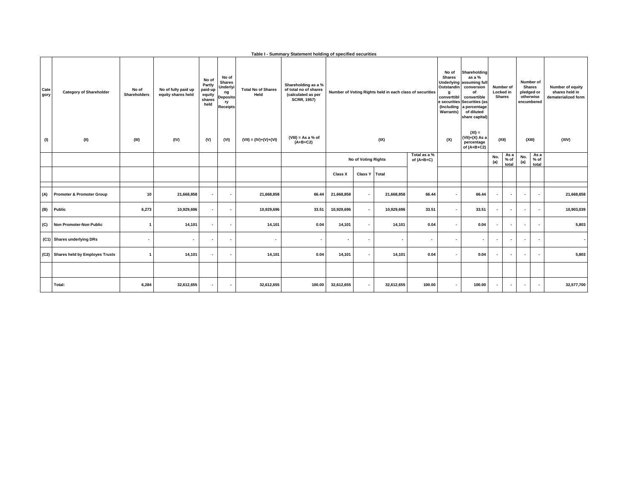|              | Table I - Summary Statement holding of specified securities |                       |                                           |                                                        |                                                                               |                                   |                                                                                          |                                                          |                          |                              |        |                                                                                |                                                                                                                                                                                 |                          |                                         |                          |                                                                     |                                                           |     |                                                             |  |       |  |        |       |
|--------------|-------------------------------------------------------------|-----------------------|-------------------------------------------|--------------------------------------------------------|-------------------------------------------------------------------------------|-----------------------------------|------------------------------------------------------------------------------------------|----------------------------------------------------------|--------------------------|------------------------------|--------|--------------------------------------------------------------------------------|---------------------------------------------------------------------------------------------------------------------------------------------------------------------------------|--------------------------|-----------------------------------------|--------------------------|---------------------------------------------------------------------|-----------------------------------------------------------|-----|-------------------------------------------------------------|--|-------|--|--------|-------|
| Cate<br>gory | <b>Category of Shareholder</b>                              | No of<br>Shareholders | No of fully paid up<br>equity shares held | No of<br>Partly<br>paid-up<br>equity<br>shares<br>held | No of<br><b>Shares</b><br>Underlyi<br>ng<br>Deposito<br>ry<br><b>Receipts</b> | <b>Total No of Shares</b><br>Held | Shareholding as a %<br>of total no of shares<br>(calculated as per<br><b>SCRR, 1957)</b> | Number of Voting Rights held in each class of securities |                          |                              |        | No of<br><b>Shares</b><br><b>Outstandin</b><br>converttibl<br><b>Warrants)</b> | Shareholding<br>as a %<br>Underlying assuming full<br>conversion<br>of<br>convertible<br>e securities Securities (as<br>(Including a percentage<br>of diluted<br>share capital) |                          | Number of<br>Locked in<br><b>Shares</b> |                          | Number of<br><b>Shares</b><br>pledged or<br>otherwise<br>encumbered | Number of equity<br>shares held in<br>dematerialized form |     |                                                             |  |       |  |        |       |
| (1)          | (II)                                                        | (III)                 | (IV)                                      | (V)                                                    | (VI)                                                                          | $(VII) = (IV)+(V)+(VI)$           | $(VIII) = As a % of$<br>$(A+B+C2)$                                                       | (IX)                                                     |                          |                              |        |                                                                                |                                                                                                                                                                                 |                          |                                         |                          |                                                                     |                                                           | (X) | $(XI) =$<br>$(VII)+(X)$ As a<br>percentage<br>of $(A+B+C2)$ |  | (XII) |  | (XIII) | (XIV) |
|              |                                                             |                       |                                           |                                                        |                                                                               |                                   |                                                                                          | <b>No of Voting Rights</b>                               |                          | Total as a %<br>of $(A+B+C)$ |        |                                                                                | No.<br>(a)                                                                                                                                                                      | As a<br>$%$ of<br>total  | No.<br>(a)                              | As a<br>% of<br>total    |                                                                     |                                                           |     |                                                             |  |       |  |        |       |
|              |                                                             |                       |                                           |                                                        |                                                                               |                                   |                                                                                          | Class X                                                  | Class Y                  | Total                        |        |                                                                                |                                                                                                                                                                                 |                          |                                         |                          |                                                                     |                                                           |     |                                                             |  |       |  |        |       |
| (A)          | Promoter & Promoter Group                                   | 10                    | 21,668,858                                | $\sim$                                                 | $\overline{\phantom{a}}$                                                      | 21,668,858                        | 66.44                                                                                    | 21,668,858                                               | $\overline{\phantom{a}}$ | 21,668,858                   | 66.44  | $\blacksquare$                                                                 | 66.44                                                                                                                                                                           | $\overline{\phantom{a}}$ | $\blacksquare$                          | $\blacksquare$           | $\overline{\phantom{a}}$                                            | 21,668,858                                                |     |                                                             |  |       |  |        |       |
| (B)          | Public                                                      | 6,273                 | 10,929,696                                | $\overline{\phantom{a}}$                               | $\overline{\phantom{a}}$                                                      | 10,929,696                        | 33.51                                                                                    | 10,929,696                                               | $\blacksquare$           | 10,929,696                   | 33.51  | $\sim$                                                                         | 33.51                                                                                                                                                                           | $\overline{\phantom{a}}$ | $\blacksquare$                          | $\sim$                   | $\overline{\phantom{a}}$                                            | 10,903,039                                                |     |                                                             |  |       |  |        |       |
| (C)          | Non Promoter-Non Public                                     | $\overline{1}$        | 14,101                                    | $\sim$                                                 | $\overline{\phantom{a}}$                                                      | 14,101                            | 0.04                                                                                     | 14,101                                                   | $\blacksquare$           | 14,101                       | 0.04   | $\sim$                                                                         | 0.04                                                                                                                                                                            | $\overline{\phantom{a}}$ | $\blacksquare$                          | $\blacksquare$           | $\overline{\phantom{a}}$                                            | 5,803                                                     |     |                                                             |  |       |  |        |       |
|              | (C1) Shares underlying DRs                                  | $\blacksquare$        | $\overline{\phantom{a}}$                  | $\overline{\phantom{a}}$                               | $\overline{\phantom{a}}$                                                      | $\overline{\phantom{a}}$          | $\overline{\phantom{a}}$                                                                 | $\overline{\phantom{a}}$                                 | $\overline{\phantom{a}}$ |                              | $\sim$ | $\overline{\phantom{a}}$                                                       | $\blacksquare$                                                                                                                                                                  | $\overline{\phantom{a}}$ | $\overline{\phantom{a}}$                | $\sim$                   | $\overline{\phantom{a}}$                                            | $\overline{\phantom{a}}$                                  |     |                                                             |  |       |  |        |       |
|              | (C2) Shares held by Employes Trusts                         | $\mathbf{1}$          | 14,101                                    | $\sim$                                                 | $\overline{\phantom{a}}$                                                      | 14,101                            | 0.04                                                                                     | 14,101                                                   | $\blacksquare$           | 14,101                       | 0.04   | $\blacksquare$                                                                 | 0.04                                                                                                                                                                            | $\overline{\phantom{a}}$ | $\blacksquare$                          | $\sim$                   | $\overline{\phantom{a}}$                                            | 5,803                                                     |     |                                                             |  |       |  |        |       |
|              |                                                             |                       |                                           |                                                        |                                                                               |                                   |                                                                                          |                                                          |                          |                              |        |                                                                                |                                                                                                                                                                                 |                          |                                         |                          |                                                                     |                                                           |     |                                                             |  |       |  |        |       |
|              | Total:                                                      | 6,284                 | 32,612,655                                | $\overline{\phantom{a}}$                               | $\overline{\phantom{a}}$                                                      | 32,612,655                        | 100.00                                                                                   | 32,612,655                                               | $\blacksquare$           | 32,612,655                   | 100.00 | $\blacksquare$                                                                 | 100.00                                                                                                                                                                          | $\overline{\phantom{a}}$ | $\overline{\phantom{a}}$                | $\overline{\phantom{a}}$ | $\overline{\phantom{a}}$                                            | 32,577,700                                                |     |                                                             |  |       |  |        |       |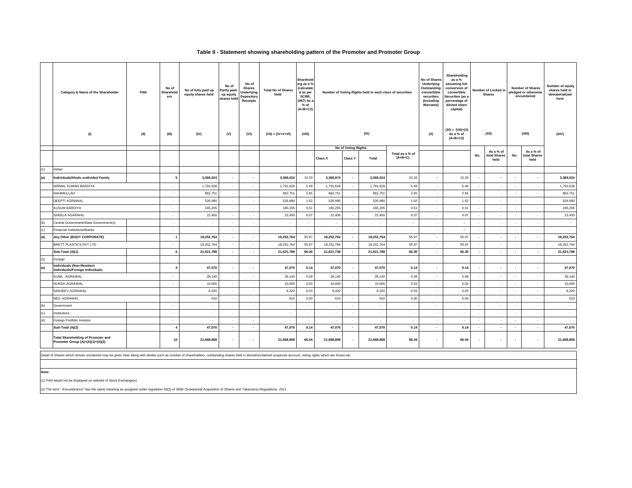### **Table II - Statement showing shareholding pattern of the Promoter and Promoter Group**

|     | Category & Name of the Shareholder<br>PAN<br>(II)<br>(1)                      | No of<br>Sharehold<br>ers<br>(III) | No of fully paid up<br>equity shares held<br>(IV) | No of<br>Partly paid-<br>up equity<br>shares held<br>(V) | No of<br><b>Shares</b><br>Underlying<br>Depository<br>Receipts<br>(VI) | <b>Total No of Shares</b><br>Held<br>$(VII) = (IV+V+VI)$ | Sharehold<br>ing as a %<br>(calculate<br>d as per<br>SCRR,<br>1957) As a<br>% of<br>$(A+B+C2)$<br>(VIII) |                          | Number of Voting Rights held in each class of securities<br>(IX) |            |                              |                          |              |                          |                          |            |                      |            |  |  |  |  |  |  |  |  |  |  |  |  |  |  |  |  |  |  |  |  |  |  |  |  |  |  |  |  |  |  |  |  |  |  |  |  |  |  |  |  |  |  |  |  |  |  |  | No of Voting Rights |  |  |  |  |  |  |  |  |  |  |  |  |  | No of Shares<br>Underlying<br>Outstanding<br>converttible |  |  |  | Number of Locked in<br><b>Shares</b><br>(XII) |  | <b>Number of Shares</b><br>pledged or otherwise<br>encumbered<br>(XIII) | Number of equity<br>shares held in<br>dematerialized<br>form<br>(XIV) |
|-----|-------------------------------------------------------------------------------|------------------------------------|---------------------------------------------------|----------------------------------------------------------|------------------------------------------------------------------------|----------------------------------------------------------|----------------------------------------------------------------------------------------------------------|--------------------------|------------------------------------------------------------------|------------|------------------------------|--------------------------|--------------|--------------------------|--------------------------|------------|----------------------|------------|--|--|--|--|--|--|--|--|--|--|--|--|--|--|--|--|--|--|--|--|--|--|--|--|--|--|--|--|--|--|--|--|--|--|--|--|--|--|--|--|--|--|--|--|--|--|--|---------------------|--|--|--|--|--|--|--|--|--|--|--|--|--|-----------------------------------------------------------|--|--|--|-----------------------------------------------|--|-------------------------------------------------------------------------|-----------------------------------------------------------------------|
|     |                                                                               |                                    |                                                   |                                                          |                                                                        |                                                          |                                                                                                          |                          |                                                                  |            |                              |                          |              |                          | As a % of                |            | As a % of            |            |  |  |  |  |  |  |  |  |  |  |  |  |  |  |  |  |  |  |  |  |  |  |  |  |  |  |  |  |  |  |  |  |  |  |  |  |  |  |  |  |  |  |  |  |  |  |  |                     |  |  |  |  |  |  |  |  |  |  |  |  |  |                                                           |  |  |  |                                               |  |                                                                         |                                                                       |
|     |                                                                               |                                    |                                                   |                                                          |                                                                        |                                                          |                                                                                                          | Class X                  | Class Y                                                          | Total      | Total as a % of<br>$(A+B+C)$ |                          |              | No.                      | total Shares<br>held     | No.        | total Shares<br>held |            |  |  |  |  |  |  |  |  |  |  |  |  |  |  |  |  |  |  |  |  |  |  |  |  |  |  |  |  |  |  |  |  |  |  |  |  |  |  |  |  |  |  |  |  |  |  |  |                     |  |  |  |  |  |  |  |  |  |  |  |  |  |                                                           |  |  |  |                                               |  |                                                                         |                                                                       |
| (1) | Indian                                                                        |                                    |                                                   |                                                          |                                                                        |                                                          |                                                                                                          |                          |                                                                  |            |                              |                          |              |                          |                          |            |                      |            |  |  |  |  |  |  |  |  |  |  |  |  |  |  |  |  |  |  |  |  |  |  |  |  |  |  |  |  |  |  |  |  |  |  |  |  |  |  |  |  |  |  |  |  |  |  |  |                     |  |  |  |  |  |  |  |  |  |  |  |  |  |                                                           |  |  |  |                                               |  |                                                                         |                                                                       |
| (a) | Individuals/Hindu undivided Family                                            |                                    | 3,369,024                                         | $\epsilon$                                               |                                                                        | 3,369,024                                                | 10.33                                                                                                    | 3,368,974                | $\sim$                                                           | 3,369,024  | 10.33                        | $\epsilon$               | 10.33        | ٠                        | $\overline{\phantom{a}}$ | $\sim$     | $\sim$               | 3,369,024  |  |  |  |  |  |  |  |  |  |  |  |  |  |  |  |  |  |  |  |  |  |  |  |  |  |  |  |  |  |  |  |  |  |  |  |  |  |  |  |  |  |  |  |  |  |  |  |                     |  |  |  |  |  |  |  |  |  |  |  |  |  |                                                           |  |  |  |                                               |  |                                                                         |                                                                       |
|     | NIRMAL KUMAR BARDIYA                                                          | $\epsilon$                         | 1,791,628                                         | $\sim$                                                   | $\sim$                                                                 | 1,791,628                                                | 5.49                                                                                                     | 1,791,628                | $\sim$                                                           | 1,791,628  | 5.49                         | $\sim$                   | 5.49         | $\sim$                   | $\sim$                   | $\sim$     | $\sim$               | 1,791,628  |  |  |  |  |  |  |  |  |  |  |  |  |  |  |  |  |  |  |  |  |  |  |  |  |  |  |  |  |  |  |  |  |  |  |  |  |  |  |  |  |  |  |  |  |  |  |  |                     |  |  |  |  |  |  |  |  |  |  |  |  |  |                                                           |  |  |  |                                               |  |                                                                         |                                                                       |
|     | RAHIMULLAH                                                                    | $\sim$                             | 862,751                                           | $\sim$                                                   | $\sim$                                                                 | 862,751                                                  | 2.65                                                                                                     | 862,751                  | $\sim$                                                           | 862,751    | 2.65                         | $\sim$                   | 2.65         | $\sim$                   | $\sim$                   | $\sim$     | $\sim$               | 862,751    |  |  |  |  |  |  |  |  |  |  |  |  |  |  |  |  |  |  |  |  |  |  |  |  |  |  |  |  |  |  |  |  |  |  |  |  |  |  |  |  |  |  |  |  |  |  |  |                     |  |  |  |  |  |  |  |  |  |  |  |  |  |                                                           |  |  |  |                                               |  |                                                                         |                                                                       |
|     | DEEPTI AGRAWAL                                                                | $\epsilon$                         | 526,990                                           | $\sim$                                                   | $\sim$                                                                 | 526,990                                                  | 1.62                                                                                                     | 526,990                  | $\sim$                                                           | 526,990    | 1.62                         | $\sim$                   | 1.62         | $\sim$                   | $\sim$                   | $\sim$     | $\sim$               | 526,990    |  |  |  |  |  |  |  |  |  |  |  |  |  |  |  |  |  |  |  |  |  |  |  |  |  |  |  |  |  |  |  |  |  |  |  |  |  |  |  |  |  |  |  |  |  |  |  |                     |  |  |  |  |  |  |  |  |  |  |  |  |  |                                                           |  |  |  |                                               |  |                                                                         |                                                                       |
|     | KUSUM BARDIYA                                                                 | $\cdot$                            | 165,205                                           | $\sim$                                                   | $\cdot$                                                                | 165,205                                                  | 0.51                                                                                                     | 165,205                  | $\sim$                                                           | 165,205    | 0.51                         | $\sim$                   | 0.51         | $\sim$                   | $\cdot$                  | ٠.         | $\sim$               | 165,205    |  |  |  |  |  |  |  |  |  |  |  |  |  |  |  |  |  |  |  |  |  |  |  |  |  |  |  |  |  |  |  |  |  |  |  |  |  |  |  |  |  |  |  |  |  |  |  |                     |  |  |  |  |  |  |  |  |  |  |  |  |  |                                                           |  |  |  |                                               |  |                                                                         |                                                                       |
|     | SHEELA AGARWAL                                                                | $\cdot$                            | 22,450                                            | $\sim$                                                   | $\sim$                                                                 | 22,450                                                   | 0.07                                                                                                     | 22,400                   | $\sim$                                                           | 22,450     | 0.07                         | $\sim$                   | 0.07         | ×                        | $\sim$                   | $\sim$     | $\sim$               | 22,450     |  |  |  |  |  |  |  |  |  |  |  |  |  |  |  |  |  |  |  |  |  |  |  |  |  |  |  |  |  |  |  |  |  |  |  |  |  |  |  |  |  |  |  |  |  |  |  |                     |  |  |  |  |  |  |  |  |  |  |  |  |  |                                                           |  |  |  |                                               |  |                                                                         |                                                                       |
| (b) | Central Government/State Government(s)                                        | $\cdot$                            | $\sim$                                            | $\sim$                                                   | $\sim$                                                                 | $\sim$                                                   | $\sim$                                                                                                   | $\sim$                   | $\cdot$                                                          | $\sim$     | $\sim$                       | $\epsilon$               | $\mathbf{r}$ | $\sim$                   | $\sim$                   |            | $\sim$               | $\sim$     |  |  |  |  |  |  |  |  |  |  |  |  |  |  |  |  |  |  |  |  |  |  |  |  |  |  |  |  |  |  |  |  |  |  |  |  |  |  |  |  |  |  |  |  |  |  |  |                     |  |  |  |  |  |  |  |  |  |  |  |  |  |                                                           |  |  |  |                                               |  |                                                                         |                                                                       |
| (c) | <b>Financial Institutions/Banks</b>                                           | ٠                                  | ٠                                                 | in 1919.                                                 | $\sim$                                                                 | $\overline{\phantom{a}}$                                 | $\sim$                                                                                                   | $\cdot$                  | $\sim$                                                           | $\sim$     | $\sim$                       | $\sim$                   | $\sim$       | $\sim$                   | $\sim$                   |            | $\sim$               | $\sim$     |  |  |  |  |  |  |  |  |  |  |  |  |  |  |  |  |  |  |  |  |  |  |  |  |  |  |  |  |  |  |  |  |  |  |  |  |  |  |  |  |  |  |  |  |  |  |  |                     |  |  |  |  |  |  |  |  |  |  |  |  |  |                                                           |  |  |  |                                               |  |                                                                         |                                                                       |
| (d) | Any Other (BODY CORPORATE)                                                    |                                    | 18,252,764                                        | $\sim$                                                   | $\sim$                                                                 | 18,252,764                                               | 55.97                                                                                                    | 18,252,764               | $\sim$                                                           | 18,252,764 | 55.97                        | $\sim$                   | 55.97        | $\sim$                   | $\sim$                   | $\sim$     | $\sim$               | 18,252,764 |  |  |  |  |  |  |  |  |  |  |  |  |  |  |  |  |  |  |  |  |  |  |  |  |  |  |  |  |  |  |  |  |  |  |  |  |  |  |  |  |  |  |  |  |  |  |  |                     |  |  |  |  |  |  |  |  |  |  |  |  |  |                                                           |  |  |  |                                               |  |                                                                         |                                                                       |
|     | BRETT PLASTICS PVT LTD                                                        | ×                                  | 18,252,764                                        | $\sim$                                                   |                                                                        | 18,252,764                                               | 55.97                                                                                                    | 18,252,764               | $\sim$                                                           | 18,252,764 | 55.97                        | $\sim$                   | 55.97        | $\overline{\phantom{a}}$ | $\sim$                   |            | $\sim$               | 18,252,764 |  |  |  |  |  |  |  |  |  |  |  |  |  |  |  |  |  |  |  |  |  |  |  |  |  |  |  |  |  |  |  |  |  |  |  |  |  |  |  |  |  |  |  |  |  |  |  |                     |  |  |  |  |  |  |  |  |  |  |  |  |  |                                                           |  |  |  |                                               |  |                                                                         |                                                                       |
|     | Sub-Total (A)(1)                                                              | 6                                  | 21,621,788                                        | $\sim$                                                   | $\overline{\phantom{a}}$                                               | 21,621,788                                               | 66.30                                                                                                    | 21,621,738               | $\sim$                                                           | 21,621,788 | 66.30                        | $\sim$                   | 66.30        | $\sim$                   | $\sim$                   | $\sim$     | $\sim$               | 21,621,788 |  |  |  |  |  |  |  |  |  |  |  |  |  |  |  |  |  |  |  |  |  |  |  |  |  |  |  |  |  |  |  |  |  |  |  |  |  |  |  |  |  |  |  |  |  |  |  |                     |  |  |  |  |  |  |  |  |  |  |  |  |  |                                                           |  |  |  |                                               |  |                                                                         |                                                                       |
| (2) | Foreign                                                                       |                                    |                                                   |                                                          |                                                                        |                                                          |                                                                                                          |                          |                                                                  |            |                              |                          |              |                          |                          |            |                      |            |  |  |  |  |  |  |  |  |  |  |  |  |  |  |  |  |  |  |  |  |  |  |  |  |  |  |  |  |  |  |  |  |  |  |  |  |  |  |  |  |  |  |  |  |  |  |  |                     |  |  |  |  |  |  |  |  |  |  |  |  |  |                                                           |  |  |  |                                               |  |                                                                         |                                                                       |
| (a) | <b>Individuals (Non-Resident</b><br>Individuals/Foreign Individuals           |                                    | 47,070                                            |                                                          |                                                                        | 47,070                                                   | 0.14                                                                                                     | 47,070                   | $\overline{\phantom{a}}$                                         | 47,070     | 0.14                         | $\overline{\phantom{a}}$ | 0.14         | $\overline{\phantom{a}}$ |                          |            |                      | 47,070     |  |  |  |  |  |  |  |  |  |  |  |  |  |  |  |  |  |  |  |  |  |  |  |  |  |  |  |  |  |  |  |  |  |  |  |  |  |  |  |  |  |  |  |  |  |  |  |                     |  |  |  |  |  |  |  |  |  |  |  |  |  |                                                           |  |  |  |                                               |  |                                                                         |                                                                       |
|     | SUNIL AGRAWAL                                                                 | $\cdot$                            | 28,140                                            | $\sim$                                                   | $\sim$                                                                 | 28,140                                                   | 0.09                                                                                                     | 28,140                   | $\sim$                                                           | 28,140     | 0.09                         | $\sim$                   | 0.09         | $\sim$                   | $\sim$                   | ٠.         | $\sim$               | 28,140     |  |  |  |  |  |  |  |  |  |  |  |  |  |  |  |  |  |  |  |  |  |  |  |  |  |  |  |  |  |  |  |  |  |  |  |  |  |  |  |  |  |  |  |  |  |  |  |                     |  |  |  |  |  |  |  |  |  |  |  |  |  |                                                           |  |  |  |                                               |  |                                                                         |                                                                       |
|     | <b>HURSH AGRAWAL</b>                                                          | $\epsilon$                         | 10,000                                            | $\sim$                                                   | $\sim$                                                                 | 10,000                                                   | 0.03                                                                                                     | 10,000                   | $\epsilon$                                                       | 10,000     | 0.03                         | $\sim$                   | 0.03         | $\sim$                   | $\sim$                   |            | $\epsilon$           | 10,000     |  |  |  |  |  |  |  |  |  |  |  |  |  |  |  |  |  |  |  |  |  |  |  |  |  |  |  |  |  |  |  |  |  |  |  |  |  |  |  |  |  |  |  |  |  |  |  |                     |  |  |  |  |  |  |  |  |  |  |  |  |  |                                                           |  |  |  |                                               |  |                                                                         |                                                                       |
|     | SANJEEV AGRAWAL                                                               | $\sim$                             | 8,320                                             | $\sim$                                                   | $\sim$                                                                 | 8,320                                                    | 0.03                                                                                                     | 8,320                    | $\sim$                                                           | 8,320      | 0.03                         | $\sim$                   | 0.03         | $\sim$                   | $\sim$                   | $\sim$     | $\sim$               | 8,320      |  |  |  |  |  |  |  |  |  |  |  |  |  |  |  |  |  |  |  |  |  |  |  |  |  |  |  |  |  |  |  |  |  |  |  |  |  |  |  |  |  |  |  |  |  |  |  |                     |  |  |  |  |  |  |  |  |  |  |  |  |  |                                                           |  |  |  |                                               |  |                                                                         |                                                                       |
|     | NEIL AGRAWAL                                                                  | ×                                  | 610                                               | $\sim$                                                   | $\sim$                                                                 | 610                                                      | 0.00                                                                                                     | 610                      | $\epsilon$                                                       | 610        | 0.00                         | $\sim$                   | 0.00         | $\sim$                   | $\sim$                   |            | $\sim$               | 610        |  |  |  |  |  |  |  |  |  |  |  |  |  |  |  |  |  |  |  |  |  |  |  |  |  |  |  |  |  |  |  |  |  |  |  |  |  |  |  |  |  |  |  |  |  |  |  |                     |  |  |  |  |  |  |  |  |  |  |  |  |  |                                                           |  |  |  |                                               |  |                                                                         |                                                                       |
| (b) | Government                                                                    | $\cdot$                            | ٠                                                 | $\sim$                                                   | $\sim$                                                                 | $\sim$                                                   | $\sim$                                                                                                   | $\sim$                   | $\sim$                                                           | $\sim$     | $\sim$                       | $\sim$                   | ٠            | $\sim$                   | $\sim$                   |            | $\sim$               | $\sim$     |  |  |  |  |  |  |  |  |  |  |  |  |  |  |  |  |  |  |  |  |  |  |  |  |  |  |  |  |  |  |  |  |  |  |  |  |  |  |  |  |  |  |  |  |  |  |  |                     |  |  |  |  |  |  |  |  |  |  |  |  |  |                                                           |  |  |  |                                               |  |                                                                         |                                                                       |
| (c) | Institutions                                                                  | $\cdot$                            |                                                   | $\sim$                                                   |                                                                        | $\sim$                                                   | $\sim$                                                                                                   | $\overline{\phantom{a}}$ | $\sim$                                                           | $\sim$     | $\sim$                       | $\epsilon$               | ٠            | $\sim$                   | $\sim$                   |            | $\sim$               | $\sim$     |  |  |  |  |  |  |  |  |  |  |  |  |  |  |  |  |  |  |  |  |  |  |  |  |  |  |  |  |  |  |  |  |  |  |  |  |  |  |  |  |  |  |  |  |  |  |  |                     |  |  |  |  |  |  |  |  |  |  |  |  |  |                                                           |  |  |  |                                               |  |                                                                         |                                                                       |
| (d) | Foreign Portfolio Investor                                                    | $\sim$                             |                                                   | $\sim$                                                   | $\sim$                                                                 | $\overline{\phantom{a}}$                                 | $\sim$                                                                                                   | ٠                        | $\sim$                                                           | $\sim$     | $\sim$                       | $\sim$                   | ٠            | $\epsilon$               | $\sim$                   |            | $\sim$               | $\sim$     |  |  |  |  |  |  |  |  |  |  |  |  |  |  |  |  |  |  |  |  |  |  |  |  |  |  |  |  |  |  |  |  |  |  |  |  |  |  |  |  |  |  |  |  |  |  |  |                     |  |  |  |  |  |  |  |  |  |  |  |  |  |                                                           |  |  |  |                                               |  |                                                                         |                                                                       |
|     | Sub-Total (A)(2)                                                              | $\overline{4}$                     | 47,070                                            | $\sim$                                                   | $\sim$                                                                 | 47,070                                                   | 0.14                                                                                                     | 47,070                   | $\sim$                                                           | 47,070     | 0.14                         | $\sim$                   | 0.14         | $\sim$                   | $\sim$                   | $\epsilon$ | $\sim$               | 47,070     |  |  |  |  |  |  |  |  |  |  |  |  |  |  |  |  |  |  |  |  |  |  |  |  |  |  |  |  |  |  |  |  |  |  |  |  |  |  |  |  |  |  |  |  |  |  |  |                     |  |  |  |  |  |  |  |  |  |  |  |  |  |                                                           |  |  |  |                                               |  |                                                                         |                                                                       |
|     | <b>Total Shareholding of Promoter and</b><br>Promoter Group (A)=(A)(1)+(A)(2) | 10                                 | 21,668,858                                        | $\sim$                                                   | $\sim$                                                                 | 21,668,858                                               | 66.44                                                                                                    | 21,668,808               | $\cdot$                                                          | 21,668,858 | 66.44                        | $\sim$                   | 66.44        | $\overline{\phantom{a}}$ | $\sim$                   | $\sim$     | $\sim$               | 21,668,858 |  |  |  |  |  |  |  |  |  |  |  |  |  |  |  |  |  |  |  |  |  |  |  |  |  |  |  |  |  |  |  |  |  |  |  |  |  |  |  |  |  |  |  |  |  |  |  |                     |  |  |  |  |  |  |  |  |  |  |  |  |  |                                                           |  |  |  |                                               |  |                                                                         |                                                                       |

Detail of Shares which remain unclaimed may be given hear along with details such as number of shareholders, outstanding shares held in demat/unclaimed suspense account, voting rights which are frozen etc.

**Note:**

(1) PAN would not be displayed on website of Stock Exchange(s)

(2) The term " Encumbrance" has the same meaning as assigned under regulation 28(3) of SEBI (Substantial Acquisition of Shares and Takeovers) Regulations, 2011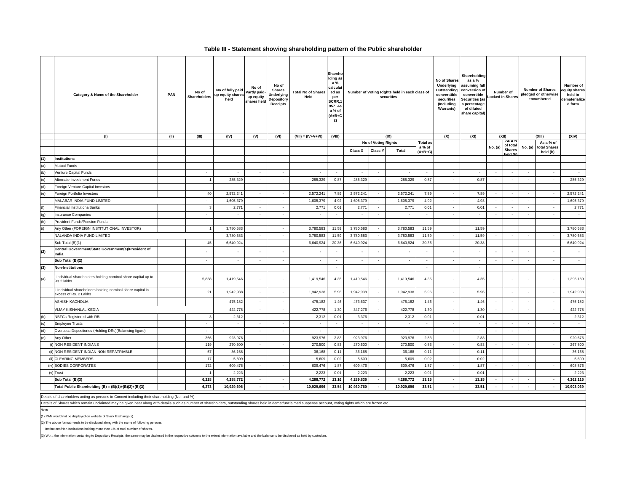#### **Table III - Statement showing shareholding pattern of the Public shareholder**

|     | Category & Name of the Shareholder                                                   | PAN  | No of<br><b>Shareholders</b> | No of fully paid<br>up equity shares<br>held | No of<br>Partly paid-<br>up equity<br>shares held | No of<br>Shares<br><b>Underlying</b><br>Depository<br><b>Receipts</b> | <b>Total No of Shares</b><br>Held | Shareho<br>Iding as<br>a %<br>calculat<br>ed as<br>per<br>SCRR,1<br>957 As<br>a % of<br>$(A+B+C$<br>2) | Number of Voting Rights held in each class of<br>securities |                          |                          |                           | No of Shares<br>Underlying<br>Outstanding<br>converttible<br>securities<br>(Including<br>Warrants) | Shareholding<br>as a %<br>assuming full<br>conversion of<br>convertible<br>Securities (as<br>a percentage<br>of diluted<br>share capital) |                          | Number of<br>Locked in Shares |                          | <b>Number of Shares</b><br>pledged or otherwise<br>encumbered | Number of<br>equity shares<br>held in<br>lematerialize<br>d form |
|-----|--------------------------------------------------------------------------------------|------|------------------------------|----------------------------------------------|---------------------------------------------------|-----------------------------------------------------------------------|-----------------------------------|--------------------------------------------------------------------------------------------------------|-------------------------------------------------------------|--------------------------|--------------------------|---------------------------|----------------------------------------------------------------------------------------------------|-------------------------------------------------------------------------------------------------------------------------------------------|--------------------------|-------------------------------|--------------------------|---------------------------------------------------------------|------------------------------------------------------------------|
|     | (1)                                                                                  | (II) | (III)                        | (IV)                                         | (V)                                               | (VI)                                                                  | $(VII) = (IV+V+VI)$               | (VIII)                                                                                                 |                                                             |                          | (IX)                     |                           | (X)                                                                                                | (XI)                                                                                                                                      |                          | (XII)<br>As a %               | (XIII)                   |                                                               | (XIV)                                                            |
|     |                                                                                      |      |                              |                                              |                                                   |                                                                       |                                   |                                                                                                        |                                                             | No of Voting Rights      |                          | <b>Total as</b><br>a % of |                                                                                                    |                                                                                                                                           | No. (a)                  | of total                      |                          | As a % of<br>No. (a) total Shares                             |                                                                  |
|     |                                                                                      |      |                              |                                              |                                                   |                                                                       |                                   |                                                                                                        | <b>Class X</b>                                              | Class <sup>'</sup>       | Total                    | (A+B+C)                   |                                                                                                    |                                                                                                                                           |                          | <b>Shares</b><br>eld (b)      |                          | held (b)                                                      |                                                                  |
| (1) | <b>Institutions</b>                                                                  |      |                              |                                              |                                                   |                                                                       |                                   |                                                                                                        |                                                             |                          |                          |                           |                                                                                                    |                                                                                                                                           |                          |                               |                          |                                                               |                                                                  |
| (a) | <b>Mutual Funds</b>                                                                  |      | $\sim$                       | $\sim$                                       | $\sim$                                            | $\sim$                                                                | $\sim$                            | $\sim$                                                                                                 | $\sim$                                                      | $\sim$                   | $\sim$                   | $\sim$                    | $\sim$                                                                                             | $\sim$                                                                                                                                    | $\sim$                   | $\sim$                        |                          | $\sim$                                                        | $\sim$                                                           |
| (b) | Venture Capital Funds                                                                |      | $\sim$                       | $\sim$                                       | $\sim$                                            | $\sim$                                                                | $\sim$                            | $\sim$                                                                                                 | in 19                                                       | $\sim$                   | <b>College</b>           | $\sim$                    | $\sim$                                                                                             | $\sim$                                                                                                                                    | $\sim$                   | $\sim$                        | $\sim$                   | $\sim$                                                        | $\sim$                                                           |
| (c) | Alternate Investment Funds                                                           |      | $\overline{1}$               | 285,329                                      | $\hat{\phantom{a}}$                               | $\bullet$                                                             | 285,329                           | 0.87                                                                                                   | 285,329                                                     | $\sim$                   | 285,329                  | 0.87                      | $\sim$                                                                                             | 0.87                                                                                                                                      | $\sim$                   | $\overline{\phantom{a}}$      | $\blacksquare$           | $\sim$                                                        | 285,329                                                          |
| (d) | Foreign Venture Capital Investors                                                    |      | $\sim$                       |                                              | $\sim$                                            | $\sim$                                                                | $\sim$                            |                                                                                                        | $\sim$                                                      | $\sim$                   | $\sim$                   | $\sim$                    | $\sim$                                                                                             | $\sim$                                                                                                                                    | $\sim$                   | $\sim$                        | $\sim$                   | $\sim$                                                        | $\sim$                                                           |
| (e) | Foreign Portfolio Investors                                                          |      | 40                           | 2,572,241                                    | $\sim$                                            | $\sim$                                                                | 2,572,241                         | 7.89                                                                                                   | 2,572,241                                                   | $\sim$                   | 2,572,241                | 7.89                      | $\sim$                                                                                             | 7.89                                                                                                                                      | $\sim$                   | $\sim$                        | $\sim$                   | $\sim$                                                        | 2,572,241                                                        |
|     | MALABAR INDIA FUND LIMITED                                                           |      | $\sim$                       | 1,605,379                                    | $\sim$                                            | $\sim$                                                                | 1,605,379                         | 4.92                                                                                                   | 1,605,379                                                   | $\sim$                   | 1,605,379                | 4.92                      | $\sim$                                                                                             | 4.93                                                                                                                                      | $\sim$                   | $\sim$                        | $\sim$                   | $\sim$                                                        | 1,605,379                                                        |
| (f) | <b>Financial Institutions/Banks</b>                                                  |      | $\overline{3}$               | 2,771                                        | $\sim$                                            | $\sim$                                                                | 2,771                             | 0.01                                                                                                   | 2,771                                                       | $\sim$                   | 2,771                    | 0.01                      | $\sim$                                                                                             | 0.01                                                                                                                                      | $\sim$                   | $\sim$                        | $\sim$                   | $\sim$                                                        | 2,771                                                            |
| (g) | <b>Insurance Companies</b>                                                           |      | $\sim$                       | $\sim$                                       | $\sim$                                            | $\sim$                                                                | $\sim$                            | $\sim$                                                                                                 | $\sim$                                                      | $\sim$                   | $\sim$                   | $\bar{\phantom{a}}$       | $\sim$                                                                                             | $\sim$                                                                                                                                    | $\sim$                   | $\sim$                        | $\sim$                   | $\cdot$                                                       | $\sim$                                                           |
| (h) | Provident Funds/Pension Funds                                                        |      | $\sim$                       | $\sim$                                       | $\sim$                                            | $\sim$                                                                | $\sim$                            | $\sim$                                                                                                 | $\sim$                                                      | $\sim$                   | $\sim$                   | $\sim$                    | $\sim$                                                                                             | $\sim$                                                                                                                                    | $\sim$                   | $\sim$                        | $\sim$                   | $\sim$                                                        | $\sim$                                                           |
| (i) | Any Other (FOREIGN INSTITUTIONAL INVESTOR)                                           |      | $\overline{1}$               | 3,780,583                                    |                                                   | $\sim$                                                                | 3,780,583                         | 11.59                                                                                                  | 3,780,583                                                   | $\sim$                   | 3,780,583                | 11.59                     |                                                                                                    | 11.59                                                                                                                                     |                          |                               |                          |                                                               | 3,780,583                                                        |
|     | NALANDA INDIA FUND LIMITED                                                           |      |                              | 3,780,583                                    | $\overline{\phantom{a}}$                          | $\sim$                                                                | 3,780,583                         | 11.59                                                                                                  | 3,780,583                                                   |                          | 3,780,583                | 11.59                     |                                                                                                    | 11.59                                                                                                                                     |                          |                               | $\sim$                   | $\sim$                                                        | 3,780,583                                                        |
|     | Sub Total (B)(1)                                                                     |      | 45                           | 6,640,924                                    | $\sim$                                            | $\sim$                                                                | 6,640,924                         | 20.36                                                                                                  | 6,640,924                                                   | $\sim$                   | 6,640,924                | 20.36                     | $\sim$                                                                                             | 20.38                                                                                                                                     | $\sim$                   | $\sim$                        | $\sim$                   | $\sim$                                                        | 6,640,924                                                        |
| (2) | Central Government/State Government(s)/President of<br>India                         |      |                              |                                              |                                                   | $\overline{\phantom{a}}$                                              | $\overline{\phantom{a}}$          |                                                                                                        |                                                             | $\overline{\phantom{a}}$ |                          |                           |                                                                                                    |                                                                                                                                           | $\overline{\phantom{a}}$ |                               |                          | $\sim$                                                        | $\overline{\phantom{a}}$                                         |
|     | Sub Total (B)(2)                                                                     |      | $\sim$                       | $\sim$                                       | $\sim$                                            | $\sim$                                                                | $\sim$                            | $\sim$                                                                                                 | $\sim$                                                      | $\sim$                   | $\sim$                   | $\sim$                    | $\sim$                                                                                             | $\sim$                                                                                                                                    | $\sim$                   | $\sim$                        | $\sim$                   | $\sim$                                                        | $\sim$                                                           |
| (3) | <b>Non-Institutions</b>                                                              |      |                              |                                              |                                                   |                                                                       |                                   | $\sim$                                                                                                 |                                                             |                          |                          | $\sim$                    |                                                                                                    | $\sim$                                                                                                                                    |                          |                               |                          |                                                               |                                                                  |
| (a) | i.Individual shareholders holding nominal share capital up to<br>Rs.2 lakhs          |      | 5,838                        | 1,419,546                                    | ÷.                                                | $\sim$                                                                | 1,419,546                         | 4.35                                                                                                   | 1,419,546                                                   | $\sim$                   | 1,419,546                | 4.35                      |                                                                                                    | 4.35                                                                                                                                      |                          |                               |                          | $\sim$                                                        | 1,396,189                                                        |
|     | ii.Individual shareholders holding nominal share capital in<br>excess of Rs. 2 Lakhs |      | 21                           | 1,942,938                                    | $\epsilon$                                        | $\sim$                                                                | 1,942,938                         | 5.96                                                                                                   | 1,942,938                                                   | $\sim$                   | 1,942,938                | 5.96                      | $\sim$                                                                                             | 5.96                                                                                                                                      |                          |                               |                          | $\sim$                                                        | 1,942,938                                                        |
|     | <b>ASHISH KACHOLIA</b>                                                               |      |                              | 475,182                                      | $\sim$                                            | $\sim$                                                                | 475,182                           | 1.46                                                                                                   | 473,637                                                     | $\sim$                   | 475,182                  | 1.46                      | $\sim$                                                                                             | 1.46                                                                                                                                      | $\sim$                   | $\overline{\phantom{a}}$      | $\sim$                   | $\sim$                                                        | 475,182                                                          |
|     | VIJAY KISHANLAL KEDIA                                                                |      |                              | 422,778                                      | $\sim$                                            | $\sim$                                                                | 422,778                           | 1.30                                                                                                   | 347,276                                                     | $\sim$                   | 422,778                  | 1.30                      | $\sim$                                                                                             | 1.30                                                                                                                                      | $\sim$                   | $\sim$                        | $\sim$                   | $\sim$                                                        | 422,778                                                          |
| (b) | NBFCs Registered with RBI                                                            |      | $\mathbf{3}$                 | 2,312                                        | $\sim$                                            | $\sim$                                                                | 2,312                             | 0.01                                                                                                   | 3,376                                                       | $\sim$                   | 2,312                    | 0.01                      | $\sim$                                                                                             | 0.01                                                                                                                                      | $\sim$                   | $\sim$                        | $\sim$                   | $\sim$                                                        | 2,312                                                            |
| (c) | <b>Employee Trusts</b>                                                               |      | $\sim$                       | $\sim$                                       | $\sim$                                            | $\sim$                                                                | $\sim$                            | $\sim$                                                                                                 | $\sim$                                                      | $\sim$                   | $\sim$                   | $\sim$                    | $\sim$                                                                                             | $\sim$                                                                                                                                    | $\sim$                   | $\sim$                        | $\sim$                   | $\sim$                                                        | $\sim$                                                           |
| (d) | Overseas Depositories (Holding DRs)(Balancing figure)                                |      | $\overline{\phantom{a}}$     | $\overline{\phantom{a}}$                     | $\sim$                                            | $\sim$                                                                | $\overline{\phantom{a}}$          | $\sim$                                                                                                 | $\sim$                                                      | $\overline{\phantom{a}}$ | $\overline{\phantom{a}}$ | $\sim$                    | $\sim$                                                                                             | $\sim$                                                                                                                                    | $\overline{\phantom{a}}$ | $\overline{\phantom{a}}$      | $\sim$                   | $\sim$                                                        | $\overline{\phantom{a}}$                                         |
| (e) | Any Other                                                                            |      | 366                          | 923,976                                      | $\sim$                                            | $\sim$                                                                | 923,976                           | 2.83                                                                                                   | 923,976                                                     | $\sim$                   | 923,976                  | 2.83                      | $\sim$                                                                                             | 2.83                                                                                                                                      | $\sim$                   | $\sim$                        | $\sim$                   | $\sim$                                                        | 920,676                                                          |
|     | (i) NON RESIDENT INDIANS                                                             |      | 119                          | 270,500                                      | $\sim$                                            | $\sim$                                                                | 270,500                           | 0.83                                                                                                   | 270,500                                                     | $\sim$                   | 270,500                  | 0.83                      | $\sim$                                                                                             | 0.83                                                                                                                                      | $\sim$                   | $\sim$                        | $\sim$                   | $\sim$                                                        | 267,800                                                          |
|     | (ii) NON RESIDENT INDIAN NON REPATRIABLE                                             |      | 57                           | 36,168                                       | $\sim$                                            | $\sim$                                                                | 36,168                            | 0.11                                                                                                   | 36,168                                                      |                          | 36,168                   | 0.11                      |                                                                                                    | 0.11                                                                                                                                      | $\sim$                   | $\tilde{\phantom{a}}$         | $\sim$                   | $\sim$                                                        | 36,168                                                           |
|     | (ii) CLEARING MEMBERS                                                                |      | 17                           | 5,609                                        | $\sim$                                            | $\sim$                                                                | 5,609                             | 0.02                                                                                                   | 5,609                                                       | $\sim$                   | 5,609                    | 0.02                      | $\sim$                                                                                             | 0.02                                                                                                                                      | $\sim$                   | $\sim$                        | $\sim$                   | $\sim$                                                        | 5,609                                                            |
|     | (iv) BODIES CORPORATES                                                               |      | 172                          | 609,476                                      | $\sim$                                            | $\sim$                                                                | 609,476                           | 1.87                                                                                                   | 609,476                                                     | $\sim$                   | 609,476                  | 1.87                      | $\sim$                                                                                             | 1.87                                                                                                                                      | $\sim$                   | $\sim$                        | $\sim$                   | $\sim$                                                        | 608,876                                                          |
|     | (v) Trust                                                                            |      | $\overline{1}$               | 2,223                                        |                                                   |                                                                       | 2,223                             | 0.01                                                                                                   | 2,223                                                       |                          | 2,223                    | 0.01                      |                                                                                                    | 0.01                                                                                                                                      |                          |                               |                          |                                                               | 2,223                                                            |
|     | Sub Total (B)(3)                                                                     |      | 6,228                        | 4,288,772                                    | $\sim$                                            |                                                                       | 4,288,772                         | 13.16                                                                                                  | 4,289,836                                                   |                          | 4,288,772                | 13.15                     |                                                                                                    | 13.15                                                                                                                                     | $\overline{\phantom{a}}$ | $\overline{\phantom{a}}$      | $\overline{\phantom{a}}$ | $\overline{\phantom{a}}$                                      | 4,262,115                                                        |
|     | Total Public Shareholding (B) = $(B)(1)+(B)(2)+(B)(3)$                               |      | 6.273                        | 10.929.696                                   | $\blacksquare$                                    |                                                                       | 10.929.696                        | 33.54                                                                                                  | 10,930,760                                                  |                          | 10,929,696               | 33.51                     |                                                                                                    | 33.51                                                                                                                                     | $\overline{\phantom{a}}$ | $\overline{\phantom{a}}$      | $\blacksquare$           | $\blacksquare$                                                | 10.903.039                                                       |

Details of shareholders acting as persons in Concert including their shareholding (No. and %)

Details of Shares which remain unclaimed may be given hear along with details such as number of shareholders, outstanding shares held in demat/unclaimed suspense account, voting rights which are frozen etc.

**Note:**

(1) PAN would not be displayed on website of Stock Exchange(s).

(2) The above format needs to be disclosed along with the name of following persons:

Institutions/Non Institutions holding more than 1% of total number of shares.

(3) W.r.t. the information pertaining to Depository Receipts, the same may be disclosed in the respective columns to the extent information available and the balance to be disclosed as held by cus